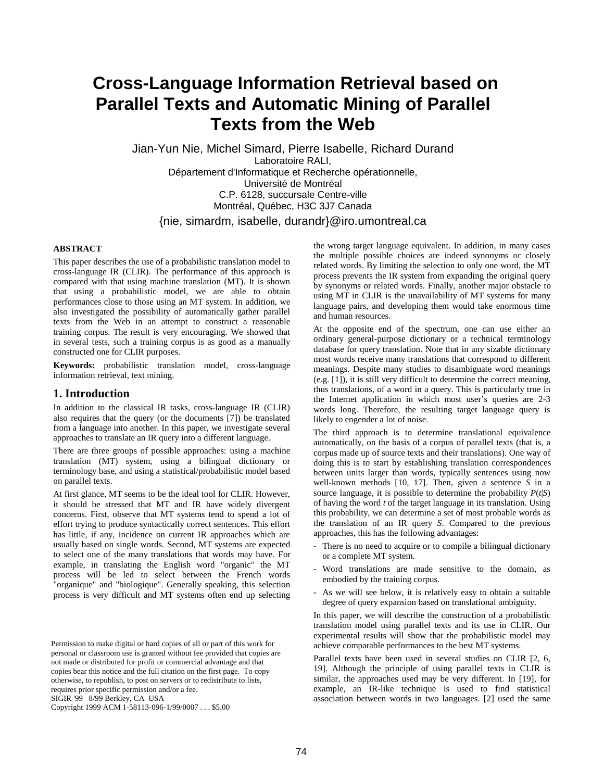# **Cross-Language Information Retrieval based on Parallel Texts and Automatic Mining of Parallel Texts from the Web**

Jian-Yun Nie, Michel Simard, Pierre Isabelle, Richard Durand Laboratoire RALI, Département d'Informatique et Recherche opérationnelle, Université de Montréal C.P. 6128, succursale Centre-ville Montréal, Québec, H3C 3J7 Canada {nie, simardm, isabelle, durandr}@iro.umontreal.ca

#### **ABSTRACT**

This paper describes the use of a probabilistic translation model to cross-language IR (CLIR). The performance of this approach is compared with that using machine translation (MT). It is shown that using a probabilistic model, we are able to obtain performances close to those using an MT system. In addition, we also investigated the possibility of automatically gather parallel texts from the Web in an attempt to construct a reasonable training corpus. The result is very encouraging. We showed that in several tests, such a training corpus is as good as a manually constructed one for CLIR purposes.

**Keywords:** probabilistic translation model, cross-language information retrieval, text mining.

## **1. Introduction**

In addition to the classical IR tasks, cross-language IR (CLIR) also requires that the query (or the documents [7]) be translated from a language into another. In this paper, we investigate several approaches to translate an IR query into a different language.

There are three groups of possible approaches: using a machine translation (MT) system, using a bilingual dictionary or terminology base, and using a statistical/probabilistic model based on parallel texts.

At first glance, MT seems to be the ideal tool for CLIR. However, it should be stressed that MT and IR have widely divergent concerns. First, observe that MT systems tend to spend a lot of effort trying to produce syntactically correct sentences. This effort has little, if any, incidence on current IR approaches which are usually based on single words. Second, MT systems are expected to select one of the many translations that words may have. For example, in translating the English word "organic" the MT process will be led to select between the French words "organique" and "biologique". Generally speaking, this selection process is very difficult and MT systems often end up selecting

Permission to make digital or hard copies of all or part of this work for personal or classroom use is granted without fee provided that copies are not made or distributed for profit or commercial advantage and that copies bear this notice and the full citation on the first page. To copy otherwise, to republish, to post on servers or to redistribute to lists, requires prior specific permission and/or a fee. SIGIR '99 8/99 Berkley, CA USA

Copyright 1999 ACM 1-58113-096-1/99/0007 . . . \$5.00

the wrong target language equivalent. In addition, in many cases the multiple possible choices are indeed synonyms or closely related words. By limiting the selection to only one word, the MT process prevents the IR system from expanding the original query by synonyms or related words. Finally, another major obstacle to using MT in CLIR is the unavailability of MT systems for many language pairs, and developing them would take enormous time and human resources.

At the opposite end of the spectrum, one can use either an ordinary general-purpose dictionary or a technical terminology database for query translation. Note that in any sizable dictionary most words receive many translations that correspond to different meanings. Despite many studies to disambiguate word meanings (e.g. [1]), it is still very difficult to determine the correct meaning, thus translations, of a word in a query. This is particularly true in the Internet application in which most user's queries are 2-3 words long. Therefore, the resulting target language query is likely to engender a lot of noise.

The third approach is to determine translational equivalence automatically, on the basis of a corpus of parallel texts (that is, a corpus made up of source texts and their translations). One way of doing this is to start by establishing translation correspondences between units larger than words, typically sentences using now well-known methods [10, 17]. Then, given a sentence *S* in a source language, it is possible to determine the probability  $P(t|S)$ of having the word *t* of the target language in its translation. Using this probability, we can determine a set of most probable words as the translation of an IR query *S*. Compared to the previous approaches, this has the following advantages:

- There is no need to acquire or to compile a bilingual dictionary or a complete MT system.
- Word translations are made sensitive to the domain, as embodied by the training corpus.
- As we will see below, it is relatively easy to obtain a suitable degree of query expansion based on translational ambiguity.

In this paper, we will describe the construction of a probabilistic translation model using parallel texts and its use in CLIR. Our experimental results will show that the probabilistic model may achieve comparable performances to the best MT systems.

Parallel texts have been used in several studies on CLIR [2, 6, 19]. Although the principle of using parallel texts in CLIR is similar, the approaches used may be very different. In [19], for example, an IR-like technique is used to find statistical association between words in two languages. [2] used the same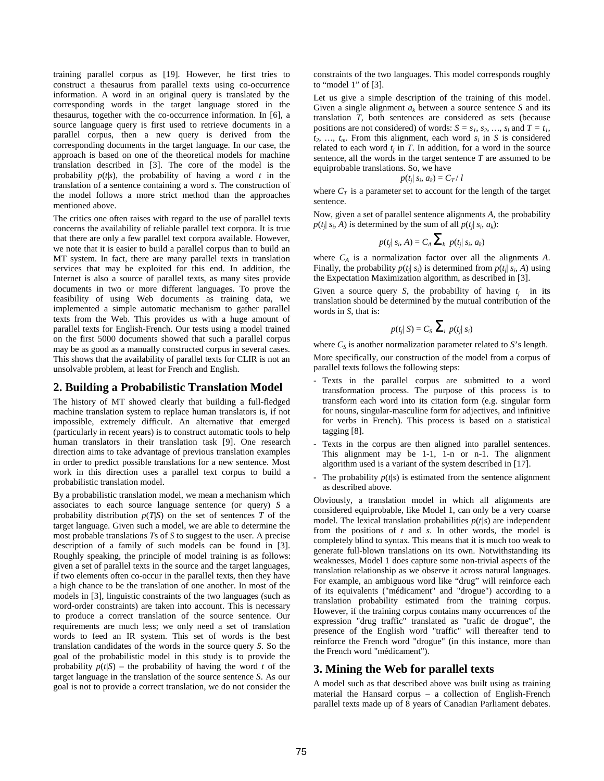training parallel corpus as [19]*.* However, he first tries to construct a thesaurus from parallel texts using co-occurrence information. A word in an original query is translated by the corresponding words in the target language stored in the thesaurus, together with the co-occurrence information. In [6], a source language query is first used to retrieve documents in a parallel corpus, then a new query is derived from the corresponding documents in the target language. In our case, the approach is based on one of the theoretical models for machine translation described in [3]. The core of the model is the probability  $p(t|s)$ , the probability of having a word  $t$  in the translation of a sentence containing a word *s*. The construction of the model follows a more strict method than the approaches mentioned above.

The critics one often raises with regard to the use of parallel texts concerns the availability of reliable parallel text corpora. It is true that there are only a few parallel text corpora available. However, we note that it is easier to build a parallel corpus than to build an MT system. In fact, there are many parallel texts in translation services that may be exploited for this end. In addition, the Internet is also a source of parallel texts, as many sites provide documents in two or more different languages. To prove the feasibility of using Web documents as training data, we implemented a simple automatic mechanism to gather parallel texts from the Web. This provides us with a huge amount of parallel texts for English-French. Our tests using a model trained on the first 5000 documents showed that such a parallel corpus may be as good as a manually constructed corpus in several cases. This shows that the availability of parallel texts for CLIR is not an unsolvable problem, at least for French and English.

# **2. Building a Probabilistic Translation Model**

The history of MT showed clearly that building a full-fledged machine translation system to replace human translators is, if not impossible, extremely difficult. An alternative that emerged (particularly in recent years) is to construct automatic tools to help human translators in their translation task [9]. One research direction aims to take advantage of previous translation examples in order to predict possible translations for a new sentence. Most work in this direction uses a parallel text corpus to build a probabilistic translation model.

By a probabilistic translation model, we mean a mechanism which associates to each source language sentence (or query) *S* a probability distribution  $p(T|S)$  on the set of sentences  $T$  of the target language. Given such a model, we are able to determine the most probable translations *T*s of *S* to suggest to the user. A precise description of a family of such models can be found in [3]. Roughly speaking, the principle of model training is as follows: given a set of parallel texts in the source and the target languages, if two elements often co-occur in the parallel texts, then they have a high chance to be the translation of one another. In most of the models in [3], linguistic constraints of the two languages (such as word-order constraints) are taken into account. This is necessary to produce a correct translation of the source sentence. Our requirements are much less; we only need a set of translation words to feed an IR system. This set of words is the best translation candidates of the words in the source query *S*. So the goal of the probabilistic model in this study is to provide the probability  $p(t|S)$  – the probability of having the word *t* of the target language in the translation of the source sentence *S*. As our goal is not to provide a correct translation, we do not consider the

constraints of the two languages. This model corresponds roughly to "model 1" of [3]*.*

Let us give a simple description of the training of this model. Given a single alignment  $a_k$  between a source sentence  $S$  and its translation *T*, both sentences are considered as sets (because positions are not considered) of words:  $S = s_1, s_2, ..., s_l$  and  $T = t_l$ ,  $t_2, \ldots, t_m$ . From this alignment, each word  $s_i$  in *S* is considered related to each word  $t_i$  in  $T$ . In addition, for a word in the source sentence, all the words in the target sentence *T* are assumed to be equiprobable translations. So, we have

$$
p(t_j|s_i, a_k) = C_T / l
$$

where  $C_T$  is a parameter set to account for the length of the target sentence.

Now, given a set of parallel sentence alignments *A*, the probability  $p(t_i|S_i, A)$  is determined by the sum of all  $p(t_i|S_i, a_k)$ :

$$
p(t_j|s_i, A) = C_A \sum_k p(t_j|s_i, a_k)
$$

where  $C_A$  is a normalization factor over all the alignments  $A$ . Finally, the probability  $p(t_i | s_i)$  is determined from  $p(t_i | s_i, A)$  using the Expectation Maximization algorithm, as described in [3].

Given a source query *S*, the probability of having  $t_i$  in its translation should be determined by the mutual contribution of the words in *S*, that is:

$$
p(t_j|S) = C_S \sum_i p(t_j|s_i)
$$

where  $C_S$  is another normalization parameter related to  $S$ 's length. More specifically, our construction of the model from a corpus of parallel texts follows the following steps:

- Texts in the parallel corpus are submitted to a word transformation process. The purpose of this process is to transform each word into its citation form (e.g. singular form for nouns, singular-masculine form for adjectives, and infinitive for verbs in French). This process is based on a statistical tagging [8].
- Texts in the corpus are then aligned into parallel sentences. This alignment may be 1-1, 1-n or n-1. The alignment algorithm used is a variant of the system described in [17].
- The probability  $p(t|s)$  is estimated from the sentence alignment as described above.

Obviously, a translation model in which all alignments are considered equiprobable, like Model 1, can only be a very coarse model. The lexical translation probabilities  $p(t|s)$  are independent from the positions of *t* and *s*. In other words, the model is completely blind to syntax. This means that it is much too weak to generate full-blown translations on its own. Notwithstanding its weaknesses, Model 1 does capture some non-trivial aspects of the translation relationship as we observe it across natural languages. For example, an ambiguous word like "drug" will reinforce each of its equivalents ("médicament" and "drogue") according to a translation probability estimated from the training corpus. However, if the training corpus contains many occurrences of the expression "drug traffic" translated as "trafic de drogue", the presence of the English word "traffic" will thereafter tend to reinforce the French word "drogue" (in this instance, more than the French word "médicament").

# **3. Mining the Web for parallel texts**

A model such as that described above was built using as training material the Hansard corpus – a collection of English-French parallel texts made up of 8 years of Canadian Parliament debates.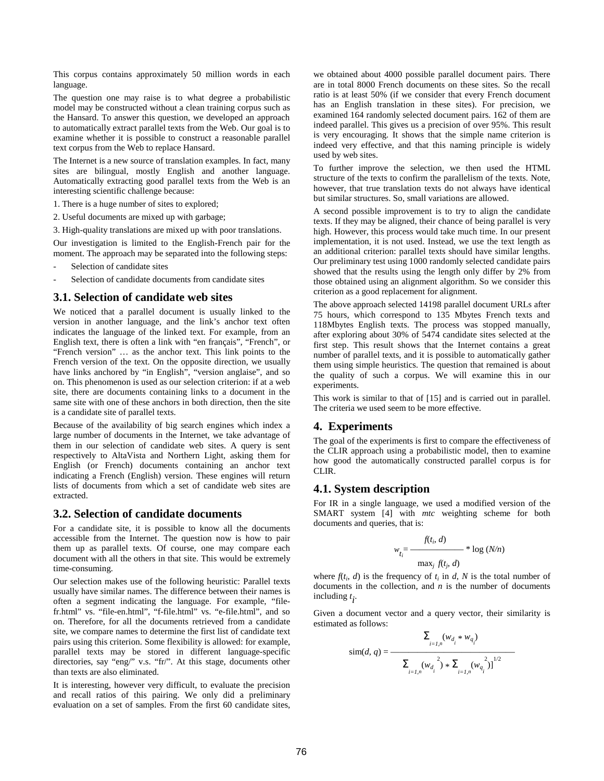This corpus contains approximately 50 million words in each language.

The question one may raise is to what degree a probabilistic model may be constructed without a clean training corpus such as the Hansard. To answer this question, we developed an approach to automatically extract parallel texts from the Web. Our goal is to examine whether it is possible to construct a reasonable parallel text corpus from the Web to replace Hansard.

The Internet is a new source of translation examples. In fact, many sites are bilingual, mostly English and another language. Automatically extracting good parallel texts from the Web is an interesting scientific challenge because:

- 1. There is a huge number of sites to explored;
- 2. Useful documents are mixed up with garbage;
- 3. High-quality translations are mixed up with poor translations.

Our investigation is limited to the English-French pair for the moment. The approach may be separated into the following steps:

- Selection of candidate sites
- Selection of candidate documents from candidate sites

# **3.1. Selection of candidate web sites**

We noticed that a parallel document is usually linked to the version in another language, and the link's anchor text often indicates the language of the linked text. For example, from an English text, there is often a link with "en français", "French", or "French version" … as the anchor text. This link points to the French version of the text. On the opposite direction, we usually have links anchored by "in English", "version anglaise", and so on. This phenomenon is used as our selection criterion: if at a web site, there are documents containing links to a document in the same site with one of these anchors in both direction, then the site is a candidate site of parallel texts.

Because of the availability of big search engines which index a large number of documents in the Internet, we take advantage of them in our selection of candidate web sites. A query is sent respectively to AltaVista and Northern Light, asking them for English (or French) documents containing an anchor text indicating a French (English) version. These engines will return lists of documents from which a set of candidate web sites are extracted.

## **3.2. Selection of candidate documents**

For a candidate site, it is possible to know all the documents accessible from the Internet. The question now is how to pair them up as parallel texts. Of course, one may compare each document with all the others in that site. This would be extremely time-consuming.

Our selection makes use of the following heuristic: Parallel texts usually have similar names. The difference between their names is often a segment indicating the language. For example, "filefr.html" vs. "file-en.html", "f-file.html" vs. "e-file.html", and so on. Therefore, for all the documents retrieved from a candidate site, we compare names to determine the first list of candidate text pairs using this criterion. Some flexibility is allowed: for example, parallel texts may be stored in different language-specific directories, say "eng/" v.s. "fr/". At this stage, documents other than texts are also eliminated.

It is interesting, however very difficult, to evaluate the precision and recall ratios of this pairing. We only did a preliminary evaluation on a set of samples. From the first 60 candidate sites,

we obtained about 4000 possible parallel document pairs. There are in total 8000 French documents on these sites. So the recall ratio is at least 50% (if we consider that every French document has an English translation in these sites). For precision, we examined 164 randomly selected document pairs. 162 of them are indeed parallel. This gives us a precision of over 95%. This result is very encouraging. It shows that the simple name criterion is indeed very effective, and that this naming principle is widely used by web sites.

To further improve the selection, we then used the HTML structure of the texts to confirm the parallelism of the texts. Note, however, that true translation texts do not always have identical but similar structures. So, small variations are allowed.

A second possible improvement is to try to align the candidate texts. If they may be aligned, their chance of being parallel is very high. However, this process would take much time. In our present implementation, it is not used. Instead, we use the text length as an additional criterion: parallel texts should have similar lengths. Our preliminary test using 1000 randomly selected candidate pairs showed that the results using the length only differ by 2% from those obtained using an alignment algorithm. So we consider this criterion as a good replacement for alignment.

The above approach selected 14198 parallel document URLs after 75 hours, which correspond to 135 Mbytes French texts and 118Mbytes English texts. The process was stopped manually, after exploring about 30% of 5474 candidate sites selected at the first step. This result shows that the Internet contains a great number of parallel texts, and it is possible to automatically gather them using simple heuristics. The question that remained is about the quality of such a corpus. We will examine this in our experiments.

This work is similar to that of [15] and is carried out in parallel. The criteria we used seem to be more effective.

# **4. Experiments**

The goal of the experiments is first to compare the effectiveness of the CLIR approach using a probabilistic model, then to examine how good the automatically constructed parallel corpus is for CLIR.

## **4.1. System description**

For IR in a single language, we used a modified version of the SMART system [4] with *mtc* weighting scheme for both documents and queries, that is:

$$
w_{t_i} = \frac{f(t_i, d)}{\max_j f(t_j, d)} * \log (N/n)
$$

where  $f(t_i, d)$  is the frequency of  $t_i$  in  $d$ ,  $N$  is the total number of documents in the collection, and *n* is the number of documents including *t i* .

Given a document vector and a query vector, their similarity is estimated as follows:

$$
\text{sim}(d, q) = \frac{\sum_{i=1,n} (w_{d_i} * w_{q_i})}{\sum_{i=1,n} (w_{d_i}^2) * \sum_{i=1,n} (w_{q_i}^2)^{1/2}}
$$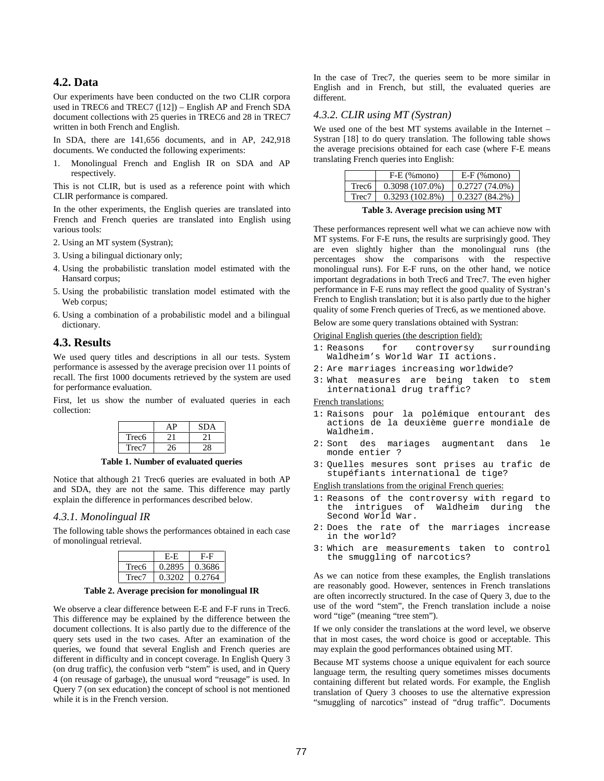# **4.2. Data**

Our experiments have been conducted on the two CLIR corpora used in TREC6 and TREC7 ([12]) – English AP and French SDA document collections with 25 queries in TREC6 and 28 in TREC7 written in both French and English.

In SDA, there are 141,656 documents, and in AP, 242,918 documents. We conducted the following experiments:

1. Monolingual French and English IR on SDA and AP respectively.

This is not CLIR, but is used as a reference point with which CLIR performance is compared.

In the other experiments, the English queries are translated into French and French queries are translated into English using various tools:

- 2. Using an MT system (Systran);
- 3. Using a bilingual dictionary only;
- 4. Using the probabilistic translation model estimated with the Hansard corpus;
- 5. Using the probabilistic translation model estimated with the Web corpus;
- 6. Using a combination of a probabilistic model and a bilingual dictionary.

# **4.3. Results**

We used query titles and descriptions in all our tests. System performance is assessed by the average precision over 11 points of recall. The first 1000 documents retrieved by the system are used for performance evaluation.

First, let us show the number of evaluated queries in each collection:

|                   | SDA |
|-------------------|-----|
| Trec <sub>6</sub> |     |
| Trec7             |     |

**Table 1. Number of evaluated queries**

Notice that although 21 Trec6 queries are evaluated in both AP and SDA, they are not the same. This difference may partly explain the difference in performances described below.

## *4.3.1. Monolingual IR*

The following table shows the performances obtained in each case of monolingual retrieval.

|                   | E-E    | F.F    |
|-------------------|--------|--------|
| Trec <sub>6</sub> | 0.2895 | 0.3686 |
| Trec <sub>7</sub> | 0.3202 | 0.2764 |

#### **Table 2. Average precision for monolingual IR**

We observe a clear difference between E-E and F-F runs in Trec6. This difference may be explained by the difference between the document collections. It is also partly due to the difference of the query sets used in the two cases. After an examination of the queries, we found that several English and French queries are different in difficulty and in concept coverage. In English Query 3 (on drug traffic), the confusion verb "stem" is used, and in Query 4 (on reusage of garbage), the unusual word "reusage" is used. In Query 7 (on sex education) the concept of school is not mentioned while it is in the French version.

In the case of Trec7, the queries seem to be more similar in English and in French, but still, the evaluated queries are different.

## *4.3.2. CLIR using MT (Systran)*

We used one of the best MT systems available in the Internet – Systran [18] to do query translation. The following table shows the average precisions obtained for each case (where F-E means translating French queries into English:

|                   | $F-E$ (% mono)    | $E-F$ (%mono)    |
|-------------------|-------------------|------------------|
| Trec <sub>6</sub> | $0.3098(107.0\%)$ | $0.2727(74.0\%)$ |
| Trec7             | $0.3293(102.8\%)$ | $0.2327(84.2\%)$ |

**Table 3. Average precision using MT**

These performances represent well what we can achieve now with MT systems. For F-E runs, the results are surprisingly good. They are even slightly higher than the monolingual runs (the percentages show the comparisons with the respective monolingual runs). For E-F runs, on the other hand, we notice important degradations in both Trec6 and Trec7. The even higher performance in F-E runs may reflect the good quality of Systran's French to English translation; but it is also partly due to the higher quality of some French queries of Trec6, as we mentioned above.

Below are some query translations obtained with Systran:

Original English queries (the description field):

- 1: Reasons for controversy surrounding Waldheim's World War II actions.
- 2: Are marriages increasing worldwide?
- 3: What measures are being taken to stem international drug traffic?

## French translations:

- 1: Raisons pour la polémique entourant des actions de la deuxième guerre mondiale de Waldheim.
- 2: Sont des mariages augmentant dans le monde entier ?
- 3: Quelles mesures sont prises au trafic de stupéfiants international de tige?

## English translations from the original French queries:

- 1: Reasons of the controversy with regard to the intrigues of Waldheim during the Second World War.
- 2: Does the rate of the marriages increase in the world?
- 3: Which are measurements taken to control the smuggling of narcotics?

As we can notice from these examples, the English translations are reasonably good. However, sentences in French translations are often incorrectly structured. In the case of Query 3, due to the use of the word "stem", the French translation include a noise word "tige" (meaning "tree stem").

If we only consider the translations at the word level, we observe that in most cases, the word choice is good or acceptable. This may explain the good performances obtained using MT.

Because MT systems choose a unique equivalent for each source language term, the resulting query sometimes misses documents containing different but related words. For example, the English translation of Query 3 chooses to use the alternative expression "smuggling of narcotics" instead of "drug traffic". Documents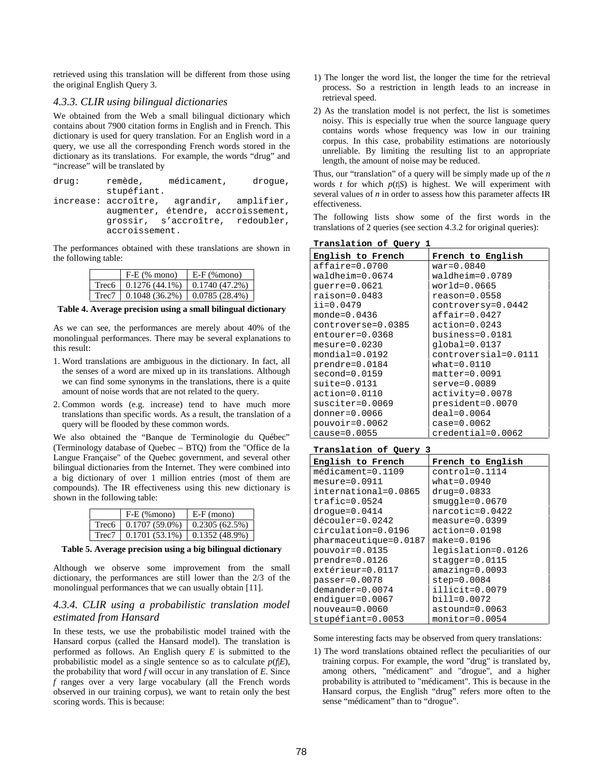retrieved using this translation will be different from those using the original English Query 3.

## *4.3.3. CLIR using bilingual dictionaries*

We obtained from the Web a small bilingual dictionary which contains about 7900 citation forms in English and in French. This dictionary is used for query translation. For an English word in a query, we use all the corresponding French words stored in the dictionary as its translations. For example, the words "drug" and "increase" will be translated by

| drug: | remède, médicament,                       |  | droque, |
|-------|-------------------------------------------|--|---------|
|       | stupéfiant.                               |  |         |
|       | increase: accroître, agrandir, amplifier, |  |         |
|       | augmenter, étendre, accroissement,        |  |         |
|       | grossir, s'accroître, redoubler,          |  |         |
|       | accroissement.                            |  |         |
|       |                                           |  |         |

The performances obtained with these translations are shown in the following table:

|                   | $F-E$ (% mono)         | $E-F$ (%mono) |
|-------------------|------------------------|---------------|
| Trec6             | $\vert$ 0.1276 (44.1%) | 0.1740(47.2%) |
| Trec <sub>7</sub> | $0.1048(36.2\%)$       | 0.0785(28.4%) |

**Table 4. Average precision using a small bilingual dictionary**

As we can see, the performances are merely about 40% of the monolingual performances. There may be several explanations to this result:

- 1. Word translations are ambiguous in the dictionary. In fact, all the senses of a word are mixed up in its translations. Although we can find some synonyms in the translations, there is a quite amount of noise words that are not related to the query.
- 2. Common words (e.g. increase) tend to have much more translations than specific words. As a result, the translation of a query will be flooded by these common words.

We also obtained the "Banque de Terminologie du Québec" (Terminology database of Quebec – BTQ) from the "Office de la Langue Française" of the Quebec government, and several other bilingual dictionaries from the Internet. They were combined into a big dictionary of over 1 million entries (most of them are compounds). The IR effectiveness using this new dictionary is shown in the following table:

|       | $F-E$ (%mono)                | $E-F (mono)$     |
|-------|------------------------------|------------------|
|       | Trec $6 \mid 0.1707(59.0\%)$ | 0.2305(62.5%)    |
| Trec7 | $\mid$ 0.1701 (53.1%)        | $0.1352(48.9\%)$ |

**Table 5. Average precision using a big bilingual dictionary**

Although we observe some improvement from the small dictionary, the performances are still lower than the 2/3 of the monolingual performances that we can usually obtain [11].

# *4.3.4. CLIR using a probabilistic translation model estimated from Hansard*

In these tests, we use the probabilistic model trained with the Hansard corpus (called the Hansard model). The translation is performed as follows. An English query *E* is submitted to the probabilistic model as a single sentence so as to calculate *p*(*f*|*E*), the probability that word *f* will occur in any translation of *E*. Since *f* ranges over a very large vocabulary (all the French words observed in our training corpus), we want to retain only the best scoring words. This is because:

- 1) The longer the word list, the longer the time for the retrieval process. So a restriction in length leads to an increase in retrieval speed.
- 2) As the translation model is not perfect, the list is sometimes noisy. This is especially true when the source language query contains words whose frequency was low in our training corpus. In this case, probability estimations are notoriously unreliable. By limiting the resulting list to an appropriate length, the amount of noise may be reduced.

Thus, our "translation" of a query will be simply made up of the *n* words *t* for which  $p(t|S)$  is highest. We will experiment with several values of *n* in order to assess how this parameter affects IR effectiveness.

The following lists show some of the first words in the translations of 2 queries (see section 4.3.2 for original queries):

| Translation of Query 1       |                      |  |  |
|------------------------------|----------------------|--|--|
| English to French            | French to English    |  |  |
| affaire=0.0700               | $war = 0.0840$       |  |  |
| waldheim=0.0674              | waldheim=0.0789      |  |  |
| querre= $0.0621$             | $word=0.0665$        |  |  |
| $raiseon=0.0483$             | $reason=0.0558$      |  |  |
| $\text{i} \text{i} = 0.0479$ | controversy=0.0442   |  |  |
| monde=0.0436                 | $affair=0.0427$      |  |  |
| $controverse=0.0385$         | $action=0.0243$      |  |  |
| $entourer=0.0368$            | business=0.0181      |  |  |
| $mesure=0.0230$              | $q$ lobal=0.0137     |  |  |
| mondial=0.0192               | controversial=0.0111 |  |  |
| $prendre=0.0184$             | $what=0.0110$        |  |  |
| $second=0.0159$              | $matter=0.0091$      |  |  |
| $suit = 0.0131$              | $serve=0.0089$       |  |  |
| $action=0.0110$              | activity=0.0078      |  |  |
| susciter=0.0069              | president=0.0070     |  |  |
| $donner=0.0066$              | $deal = 0.0064$      |  |  |
| $pouvoir=0.0062$             | $case = 0.0062$      |  |  |
| $cause=0.0055$               | credential=0.0062    |  |  |

#### **Translation of Query 3**

| English to French             | French to English  |
|-------------------------------|--------------------|
| $m\'edicament = 0.1109$       | $control=0.1114$   |
| $mesure=0.0911$               | $what=0.0940$      |
| international=0.0865          | $druq = 0.0833$    |
| $trafic=0.0524$               | $smuqqle=0.0670$   |
| $droque = 0.0414$             | narcotic=0.0422    |
| $d\acute{e}$ couler= $0.0242$ | $measure=0.0399$   |
| circulation=0.0196            | action=0.0198      |
| pharmaceutique=0.0187         | make=0.0196        |
| $pouvoir=0.0135$              | legislation=0.0126 |
| $prendre=0.0126$              | $stageer=0.0115$   |
| extérieur=0.0117              | $amazinq=0.0093$   |
| $passer=0.0078$               | step=0.0084        |
| $demander=0.0074$             | $i$ llicit=0.0079  |
| $endiquer=0.0067$             | bill=0.0072        |
| $noweau=0.0060$               | $astound=0.0063$   |
| stupéfiant=0.0053             | monitor=0.0054     |

Some interesting facts may be observed from query translations:

1) The word translations obtained reflect the peculiarities of our training corpus. For example, the word "drug" is translated by, among others, "médicament" and "drogue", and a higher probability is attributed to "médicament". This is because in the Hansard corpus, the English "drug" refers more often to the sense "médicament" than to "drogue".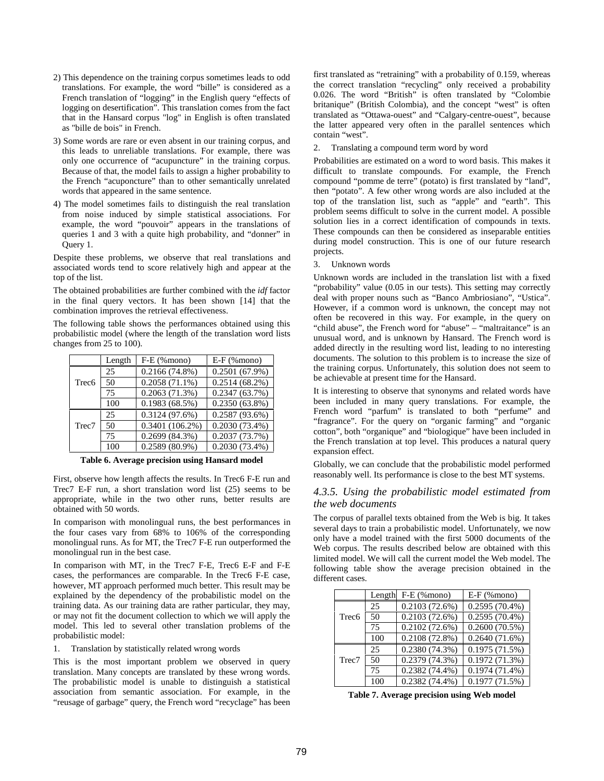- 2) This dependence on the training corpus sometimes leads to odd translations. For example, the word "bille" is considered as a French translation of "logging" in the English query "effects of logging on desertification". This translation comes from the fact that in the Hansard corpus "log" in English is often translated as "bille de bois" in French.
- 3) Some words are rare or even absent in our training corpus, and this leads to unreliable translations. For example, there was only one occurrence of "acupuncture" in the training corpus. Because of that, the model fails to assign a higher probability to the French "acuponcture" than to other semantically unrelated words that appeared in the same sentence.
- 4) The model sometimes fails to distinguish the real translation from noise induced by simple statistical associations. For example, the word "pouvoir" appears in the translations of queries 1 and 3 with a quite high probability, and "donner" in Query 1.

Despite these problems, we observe that real translations and associated words tend to score relatively high and appear at the top of the list.

The obtained probabilities are further combined with the *idf* factor in the final query vectors. It has been shown [14] that the combination improves the retrieval effectiveness.

The following table shows the performances obtained using this probabilistic model (where the length of the translation word lists changes from 25 to 100).

|                   | Length | F-E (%mono)       | E-F (%mono)      |
|-------------------|--------|-------------------|------------------|
|                   | 25     | 0.2166(74.8%)     | $0.2501(67.9\%)$ |
| Trec <sub>6</sub> | 50     | $0.2058(71.1\%)$  | $0.2514(68.2\%)$ |
|                   | 75     | 0.2063(71.3%)     | 0.2347(63.7%)    |
|                   | 100    | 0.1983(68.5%)     | $0.2350(63.8\%)$ |
|                   | 25     | 0.3124(97.6%)     | $0.2587(93.6\%)$ |
| Trec <sub>7</sub> | 50     | $0.3401(106.2\%)$ | $0.2030(73.4\%)$ |
|                   | 75     | 0.2699(84.3%)     | 0.2037(73.7%)    |
|                   | 100    | $0.2589(80.9\%)$  | $0.2030(73.4\%)$ |

**Table 6. Average precision using Hansard model**

First, observe how length affects the results. In Trec6 F-E run and Trec7 E-F run, a short translation word list (25) seems to be appropriate, while in the two other runs, better results are obtained with 50 words.

In comparison with monolingual runs, the best performances in the four cases vary from 68% to 106% of the corresponding monolingual runs. As for MT, the Trec7 F-E run outperformed the monolingual run in the best case.

In comparison with MT, in the Trec7 F-E, Trec6 E-F and F-E cases, the performances are comparable. In the Trec6 F-E case, however, MT approach performed much better. This result may be explained by the dependency of the probabilistic model on the training data. As our training data are rather particular, they may, or may not fit the document collection to which we will apply the model. This led to several other translation problems of the probabilistic model:

1. Translation by statistically related wrong words

This is the most important problem we observed in query translation. Many concepts are translated by these wrong words. The probabilistic model is unable to distinguish a statistical association from semantic association. For example, in the "reusage of garbage" query, the French word "recyclage" has been first translated as "retraining" with a probability of 0.159, whereas the correct translation "recycling" only received a probability 0.026. The word "British" is often translated by "Colombie britanique" (British Colombia), and the concept "west" is often translated as "Ottawa-ouest" and "Calgary-centre-ouest", because the latter appeared very often in the parallel sentences which contain "west".

2. Translating a compound term word by word

Probabilities are estimated on a word to word basis. This makes it difficult to translate compounds. For example, the French compound "pomme de terre" (potato) is first translated by "land", then "potato". A few other wrong words are also included at the top of the translation list, such as "apple" and "earth". This problem seems difficult to solve in the current model. A possible solution lies in a correct identification of compounds in texts. These compounds can then be considered as inseparable entities during model construction. This is one of our future research projects.

3. Unknown words

Unknown words are included in the translation list with a fixed "probability" value (0.05 in our tests). This setting may correctly deal with proper nouns such as "Banco Ambriosiano", "Ustica". However, if a common word is unknown, the concept may not often be recovered in this way. For example, in the query on "child abuse", the French word for "abuse" – "maltraitance" is an unusual word, and is unknown by Hansard. The French word is added directly in the resulting word list, leading to no interesting documents. The solution to this problem is to increase the size of the training corpus. Unfortunately, this solution does not seem to be achievable at present time for the Hansard.

It is interesting to observe that synonyms and related words have been included in many query translations. For example, the French word "parfum" is translated to both "perfume" and "fragrance". For the query on "organic farming" and "organic cotton", both "organique" and "biologique" have been included in the French translation at top level. This produces a natural query expansion effect.

Globally, we can conclude that the probabilistic model performed reasonably well. Its performance is close to the best MT systems.

# *4.3.5. Using the probabilistic model estimated from the web documents*

The corpus of parallel texts obtained from the Web is big. It takes several days to train a probabilistic model. Unfortunately, we now only have a model trained with the first 5000 documents of the Web corpus. The results described below are obtained with this limited model. We will call the current model the Web model. The following table show the average precision obtained in the different cases.

|                   | Length | F-E (%mono)      | $E-F$ (%mono)    |
|-------------------|--------|------------------|------------------|
|                   | 25     | 0.2103(72.6%)    | $0.2595(70.4\%)$ |
| Trec <sub>6</sub> | 50     | 0.2103(72.6%)    | $0.2595(70.4\%)$ |
|                   | 75     | 0.2102(72.6%)    | 0.2600(70.5%)    |
|                   | 100    | 0.2108(72.8%)    | 0.2640(71.6%)    |
|                   | 25     | 0.2380(74.3%)    | 0.1975(71.5%)    |
| Trec <sub>7</sub> | 50     | 0.2379(74.3%)    | 0.1972(71.3%)    |
|                   | 75     | $0.2382(74.4\%)$ | $0.1974(71.4\%)$ |
|                   | 100    | $0.2382(74.4\%)$ | 0.1977(71.5%)    |

**Table 7. Average precision using Web model**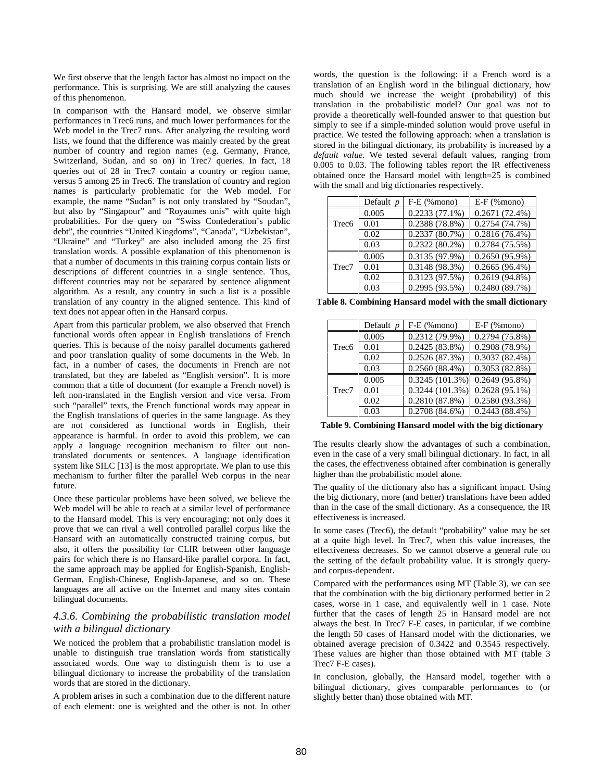We first observe that the length factor has almost no impact on the performance. This is surprising. We are still analyzing the causes of this phenomenon.

In comparison with the Hansard model, we observe similar performances in Trec6 runs, and much lower performances for the Web model in the Trec7 runs. After analyzing the resulting word lists, we found that the difference was mainly created by the great number of country and region names (e.g. Germany, France, Switzerland, Sudan, and so on) in Trec7 queries. In fact, 18 queries out of 28 in Trec7 contain a country or region name, versus 5 among 25 in Trec6. The translation of country and region names is particularly problematic for the Web model. For example, the name "Sudan" is not only translated by "Soudan", but also by "Singapour" and "Royaumes unis" with quite high probabilities. For the query on "Swiss Confederation's public debt", the countries "United Kingdoms", "Canada", "Uzbekistan", "Ukraine" and "Turkey" are also included among the 25 first translation words. A possible explanation of this phenomenon is that a number of documents in this training corpus contain lists or descriptions of different countries in a single sentence. Thus, different countries may not be separated by sentence alignment algorithm. As a result, any country in such a list is a possible translation of any country in the aligned sentence. This kind of text does not appear often in the Hansard corpus.

Apart from this particular problem, we also observed that French functional words often appear in English translations of French queries. This is because of the noisy parallel documents gathered and poor translation quality of some documents in the Web. In fact, in a number of cases, the documents in French are not translated, but they are labeled as "English version". It is more common that a title of document (for example a French novel) is left non-translated in the English version and vice versa. From such "parallel" texts, the French functional words may appear in the English translations of queries in the same language. As they are not considered as functional words in English, their appearance is harmful. In order to avoid this problem, we can apply a language recognition mechanism to filter out nontranslated documents or sentences. A language identification system like SILC [13] is the most appropriate. We plan to use this mechanism to further filter the parallel Web corpus in the near future.

Once these particular problems have been solved, we believe the Web model will be able to reach at a similar level of performance to the Hansard model. This is very encouraging: not only does it prove that we can rival a well controlled parallel corpus like the Hansard with an automatically constructed training corpus, but also, it offers the possibility for CLIR between other language pairs for which there is no Hansard-like parallel corpora. In fact, the same approach may be applied for English-Spanish, English-German, English-Chinese, English-Japanese, and so on. These languages are all active on the Internet and many sites contain bilingual documents.

## *4.3.6. Combining the probabilistic translation model with a bilingual dictionary*

We noticed the problem that a probabilistic translation model is unable to distinguish true translation words from statistically associated words. One way to distinguish them is to use a bilingual dictionary to increase the probability of the translation words that are stored in the dictionary.

A problem arises in such a combination due to the different nature of each element: one is weighted and the other is not. In other

words, the question is the following: if a French word is a translation of an English word in the bilingual dictionary, how much should we increase the weight (probability) of this translation in the probabilistic model? Our goal was not to provide a theoretically well-founded answer to that question but simply to see if a simple-minded solution would prove useful in practice. We tested the following approach: when a translation is stored in the bilingual dictionary, its probability is increased by a *default value*. We tested several default values, ranging from 0.005 to 0.03. The following tables report the IR effectiveness obtained once the Hansard model with length=25 is combined with the small and big dictionaries respectively.

|                   | Default $p$ | $F-E$ (%mono)    | $E-F$ (%mono)    |
|-------------------|-------------|------------------|------------------|
|                   | 0.005       | $0.2233(77.1\%)$ | $0.2671(72.4\%)$ |
| Trec <sub>6</sub> | 0.01        | $0.2388(78.8\%)$ | 0.2754(74.7%)    |
|                   | 0.02        | 0.2337(80.7%)    | $0.2816(76.4\%)$ |
|                   | 0.03        | $0.2322(80.2\%)$ | 0.2784(75.5%)    |
|                   | 0.005       | $0.3135(97.9\%)$ | $0.2650(95.9\%)$ |
| Trec <sub>7</sub> | 0.01        | $0.3148(98.3\%)$ | $0.2665(96.4\%)$ |
|                   | 0.02        | 0.3123(97.5%)    | $0.2619(94.8\%)$ |
|                   | 0.03        | 0.2995(93.5%)    | 0.2480(89.7%)    |

**Table 8. Combining Hansard model with the small dictionary**

|                   | Default $p$ | $F-E$ (%mono)    | $E-F$ (%mono)    |
|-------------------|-------------|------------------|------------------|
|                   | 0.005       | $0.2312(79.9\%)$ | $0.2794(75.8\%)$ |
| Trec <sub>6</sub> | 0.01        | $0.2425(83.8\%)$ | $0.2908(78.9\%)$ |
|                   | 0.02        | 0.2526(87.3%)    | $0.3037(82.4\%)$ |
|                   | 0.03        | $0.2560(88.4\%)$ | $0.3053(82.8\%)$ |
|                   | 0.005       | 0.3245(101.3%)   | $0.2649(95.8\%)$ |
| Trec <sub>7</sub> | 0.01        | 0.3244(101.3%)   | $0.2628(95.1\%)$ |
|                   | 0.02        | $0.2810(87.8\%)$ | $0.2580(93.3\%)$ |
|                   | 0.03        | $0.2708(84.6\%)$ | 0.2443(88.4%)    |

**Table 9. Combining Hansard model with the big dictionary**

The results clearly show the advantages of such a combination, even in the case of a very small bilingual dictionary. In fact, in all the cases, the effectiveness obtained after combination is generally higher than the probabilistic model alone.

The quality of the dictionary also has a significant impact. Using the big dictionary, more (and better) translations have been added than in the case of the small dictionary. As a consequence, the IR effectiveness is increased.

In some cases (Trec6), the default "probability" value may be set at a quite high level. In Trec7, when this value increases, the effectiveness decreases. So we cannot observe a general rule on the setting of the default probability value. It is strongly queryand corpus-dependent.

Compared with the performances using MT (Table 3), we can see that the combination with the big dictionary performed better in 2 cases, worse in 1 case, and equivalently well in 1 case. Note further that the cases of length 25 in Hansard model are not always the best. In Trec7 F-E cases, in particular, if we combine the length 50 cases of Hansard model with the dictionaries, we obtained average precision of 0.3422 and 0.3545 respectively. These values are higher than those obtained with MT (table 3 Trec7 F-E cases).

In conclusion, globally, the Hansard model, together with a bilingual dictionary, gives comparable performances to (or slightly better than) those obtained with MT.